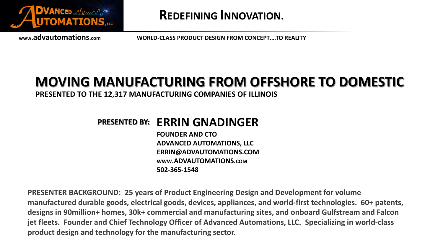

**REDEFINING INNOVATION.**

**www.advautomations.com WORLD-CLASS PRODUCT DESIGN FROM CONCEPT….TO REALITY**

### **MOVING MANUFACTURING FROM OFFSHORE TO DOMESTIC**

**PRESENTED TO THE 12,317 MANUFACTURING COMPANIES OF ILLINOIS** 

### **ERRIN GNADINGER PRESENTED BY:**

**FOUNDER AND CTO ADVANCED AUTOMATIONS, LLC ERRIN@ADVAUTOMATIONS.COM WWW.ADVAUTOMATIONS.COM 502-365-1548**

**PRESENTER BACKGROUND: 25 years of Product Engineering Design and Development for volume manufactured durable goods, electrical goods, devices, appliances, and world-first technologies. 60+ patents, designs in 90million+ homes, 30k+ commercial and manufacturing sites, and onboard Gulfstream and Falcon jet fleets. Founder and Chief Technology Officer of Advanced Automations, LLC. Specializing in world-class product design and technology for the manufacturing sector.**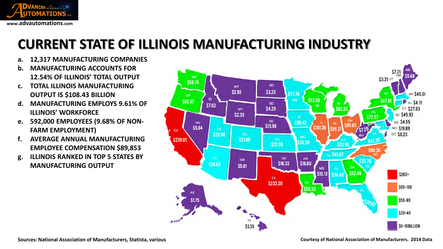

# **CURRENT STATE OF ILLINOIS MANUFACTURING INDUSTRY**

- **a. 12,317 MANUFACTURING COMPANIES**
- **b. MANUFACTURING ACCOUNTS FOR 12.54% OF ILLINOIS' TOTAL OUTPUT**
- **c. TOTAL ILLINOIS MANUFACTURING OUTPUT IS \$108.43 BILLION**
- **d. MANUFACTURING EMPLOYS 9.61% OF ILLINOIS' WORKFORCE**
- **e. 592,000 EMPLOYEES (9.68% OF NON-FARM EMPLOYMENT)**
- **f. AVERAGE ANNUAL MANUFACTURING EMPLOYEE COMPENSATION \$89,853**
- **g. ILLINOIS RANKED IN TOP 5 STATES BY MANUFACTURING OUTPUT**

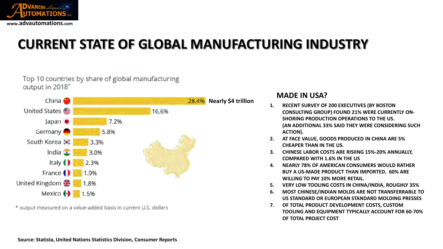

# **CURRENT STATE OF GLOBAL MANUFACTURING INDUSTRY**



\* output measured on a value-added basis in current U.S. dollars

Top 10 countries by share of global manufacturing

#### **MADE IN USA?**

- **1. RECENT SURVEY OF 200 EXECUTIVES (BY BOSTON CONSULTING GROUP) FOUND 21% WERE CURRENTLY ON-SHORING PRODUCTION OPERATIONS TO THE US. (AN ADDITIONAL 33% SAID THEY WERE CONSIDERING SUCH ACTION).**
- **2. AT FACE VALUE, GOODS PRODUCED IN CHINA ARE 5% CHEAPER THAN IN THE US.**
- **3. CHINESE LABOR COSTS ARE RISIING 15%-20% ANNUALLY, COMPARED WITH 1.6% IN THE US**
- **4. NEARLY 78% OF AMERICAN CONSUMERS WOULD RATHER BUY A US-MADE PRODUCT THAN IMPORTED. 60% ARE WILLING TO PAY 10% MORE RETAIL.**
- **5. VERY LOW TOOLING COSTS IN CHINA/INDIA, ROUGHLY 35%**
- **6. MOST CHINESE/INDIAN MOLDS ARE NOT TRANSFERRABLE TO US STANDARD OR EUROPEAN STANDARD MOLDING PRESSES**
- **7. OF TOTAL PRODUCT DEVELOPMENT COSTS, CUSTOM TOOLING AND EQUIPMENT TYPICALLY ACCOUNT FOR 60-70% OF TOTAL PROJECT COST**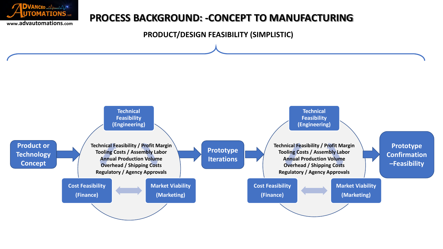

### **PROCESS BACKGROUND: -CONCEPT TO MANUFACTURING**

**PRODUCT/DESIGN FEASIBILITY (SIMPLISTIC)**

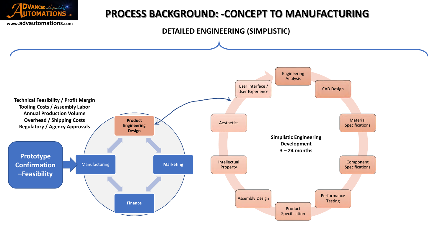

### **PROCESS BACKGROUND: -CONCEPT TO MANUFACTURING**

#### **DETAILED ENGINEERING (SIMPLISTIC)**

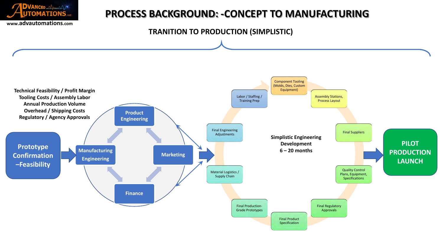

### **PROCESS BACKGROUND: -CONCEPT TO MANUFACTURING**

**TRANITION TO PRODUCTION (SIMPLISTIC)**

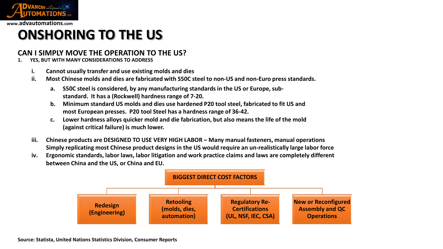

# **ONSHORING TO THE US**

#### **CAN I SIMPLY MOVE THE OPERATION TO THE US?**

- **1. YES, BUT WITH MANY CONSIDERATIONS TO ADDRESS**
	- **i. Cannot usually transfer and use existing molds and dies**
	- **ii. Most Chinese molds and dies are fabricated with S50C steel to non-US and non-Euro press standards.**
		- **a. S50C steel is considered, by any manufacturing standards in the US or Europe, substandard. It has a (Rockwell) hardness range of 7-20.**
		- **b. Minimum standard US molds and dies use hardened P20 tool steel, fabricated to fit US and most European presses. P20 tool Steel has a hardness range of 36-42.**
		- **c. Lower hardness alloys quicker mold and die fabrication, but also means the life of the mold (against critical failure) is much lower.**
	- **iii. Chinese products are DESIGNED TO USE VERY HIGH LABOR – Many manual fasteners, manual operations Simply replicating most Chinese product designs in the US would require an un-realistically large labor force**
	- **iv. Ergonomic standards, labor laws, labor litigation and work practice claims and laws are completely different between China and the US, or China and EU.**

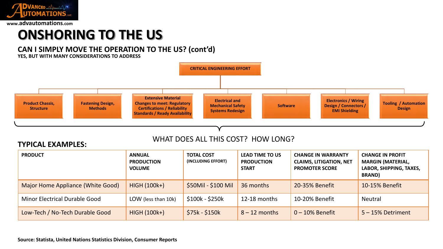

### **ONSHORING TO THE US**

#### **CAN I SIMPLY MOVE THE OPERATION TO THE US? (cont'd)**

**YES, BUT WITH MANY CONSIDERATIONS TO ADDRESS**



#### WHAT DOES ALL THIS COST? HOW LONG?

#### **TYPICAL EXAMPLES:**

| <b>PRODUCT</b>                       | <b>ANNUAL</b><br><b>PRODUCTION</b><br><b>VOLUME</b> | <b>TOTAL COST</b><br>(INCLUDING EFFORT) | <b>LEAD TIME TO US</b><br><b>PRODUCTION</b><br><b>START</b> | <b>CHANGE IN WARRANTY</b><br><b>CLAIMS, LITIGATION, NET</b><br><b>PROMOTER SCORE</b> | <b>CHANGE IN PROFIT</b><br><b>MARGIN (MATERIAL,</b><br>LABOR, SHIPPING, TAXES,<br><b>BRAND</b> ) |
|--------------------------------------|-----------------------------------------------------|-----------------------------------------|-------------------------------------------------------------|--------------------------------------------------------------------------------------|--------------------------------------------------------------------------------------------------|
| Major Home Appliance (White Good)    | <b>HIGH (100k+)</b>                                 | \$50Mil - \$100 Mil                     | 36 months                                                   | 20-35% Benefit                                                                       | 10-15% Benefit                                                                                   |
| <b>Minor Electrical Durable Good</b> | LOW (less than 10k)                                 | \$100k - \$250k                         | $12-18$ months                                              | 10-20% Benefit                                                                       | <b>Neutral</b>                                                                                   |
| Low-Tech / No-Tech Durable Good      | <b>HIGH (100k+)</b>                                 | $$75k - $150k$                          | $8 - 12$ months                                             | $0 - 10\%$ Benefit                                                                   | $5 - 15%$ Detriment                                                                              |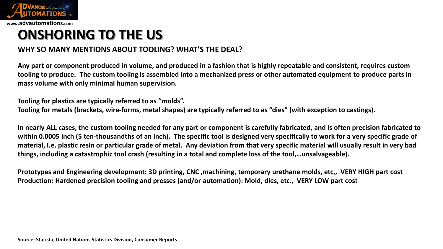

**ONSHORING TO THE US**

#### **WHY SO MANY MENTIONS ABOUT TOOLING? WHAT'S THE DEAL?**

**Any part or component produced in volume, and produced in a fashion that is highly repeatable and consistent, requires custom tooling to produce. The custom tooling is assembled into a mechanized press or other automated equipment to produce parts in mass volume with only minimal human supervision.**

**Tooling for plastics are typically referred to as "molds".**

**Tooling for metals (brackets, wire-forms, metal shapes) are typically referred to as "dies" (with exception to castings).**

**In nearly ALL cases, the custom tooling needed for any part or component is carefully fabricated, and is often precision fabricated to within 0.0005 inch (5 ten-thousandths of an inch). The specific tool is designed very specifically to work for a very specific grade of material, I.e. plastic resin or particular grade of metal. Any deviation from that very specific material will usually result in very bad things, including a catastrophic tool crash (resulting in a total and complete loss of the tool,…unsalvageable).**

**Prototypes and Engineering development: 3D printing, CNC ,machining, temporary urethane molds, etc,, VERY HIGH part cost Production: Hardened precision tooling and presses (and/or automation): Mold, dies, etc., VERY LOW part cost**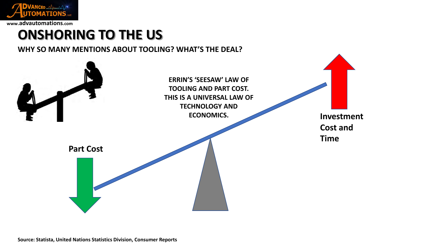

## **ONSHORING TO THE US**

**WHY SO MANY MENTIONS ABOUT TOOLING? WHAT'S THE DEAL?**

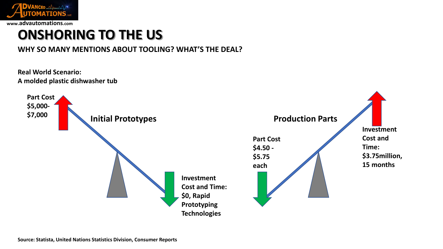

# **ONSHORING TO THE US**

#### **WHY SO MANY MENTIONS ABOUT TOOLING? WHAT'S THE DEAL?**

**Real World Scenario: A molded plastic dishwasher tub**

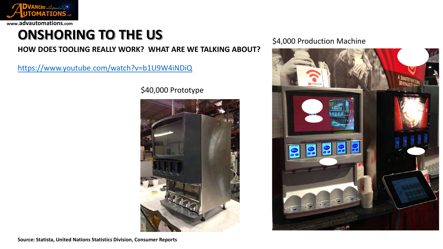

# **ONSHORING TO THE US**

#### **HOW DOES TOOLING REALLY WORK? WHAT ARE WE TALKING ABOUT?**

<https://www.youtube.com/watch?v=b1U9W4iNDiQ>

\$40,000 Prototype



#### \$4,000 Production Machine